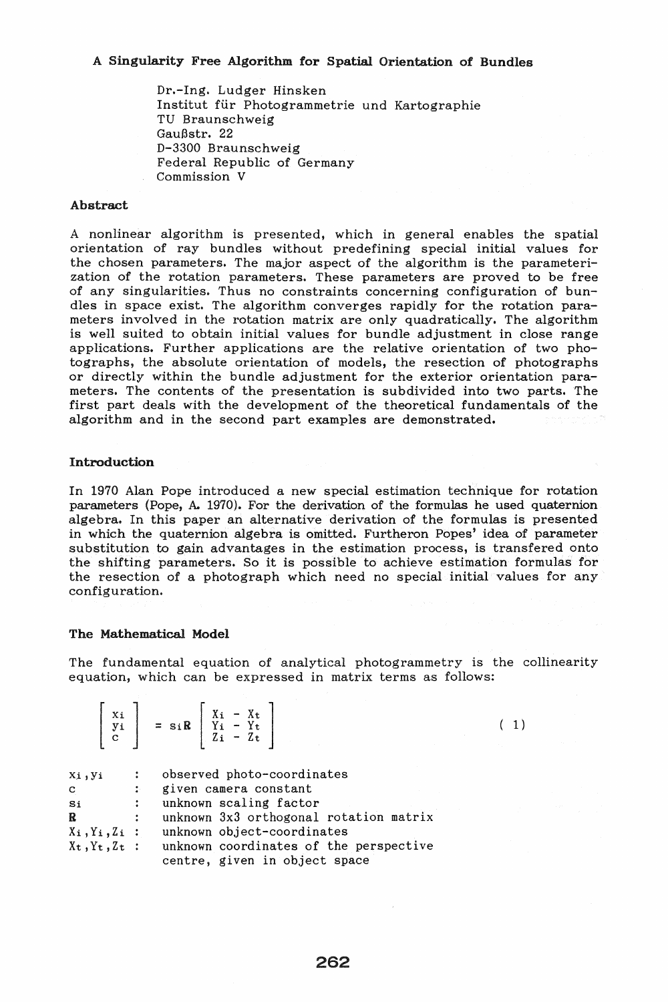# A Singularity Free Algorithm for Spatial Orientation of Bundles

Dr.-Ing. Ludger Hinsken Institut für Photogrammetrie und Kartographie TV Braunschweig Gaußstr. 22 D-3300 Braunschweig Federal Republic of Germany Commission V

# Abstract

A nonlinear algorithm is presented, which in general enables the spatial orientation of ray bundles without predefining special initial values for the chosen parameters. The major aspect of the algorithm is the parameterization of the rotation parameters. These parameters are proved to be free of any singularities. Thus no constraints concerning configuration of bundles in space exist. The algorithm converges rapidly for the rotation parameters involved in the rotation matrix are only quadratically. The algorithm is well suited to obtain initial values for bundle adjustment in close range applications. Further applications are the relative orientation of two photographs, the absolute orientation of models, the resection of photographs or directly within the bundle adjustment for the exterior orientation parameters. The contents of the presentation is subdivided into two parts. The first part deals with the development of the theoretical fundamentals of the algorithm and in the second part examples are demonstrated.

# Introduction

In 1970 Alan Pope introduced a new special estimation technique for rotation parameters (Pope, A.. 1970). For the derivation of the formulas he used quaternion algebra. In this paper an alternative derivation of the formulas is presented in which the quaternion algebra is omitted. Furtheron Popes' idea of parameter substitution to gain advantages in the estimation process, is transfered onto the shifting parameters. So it is possible to achieve estimation formulas for the resection of a photograph which need no special initial values for any configuration.

#### The Mathematical Model

 $\begin{bmatrix} x_i \end{bmatrix}$   $\begin{bmatrix} x_i - x_t \end{bmatrix}$ 

The fundamental equation of analytical photogrammetry is the collinearity equation, which can be expressed in matrix terms as follows:

( 1)

|              |                  | $\begin{array}{c c c c c} & & - & \text{sin} & & 11 & - & 11 \\ \hline c & & & & & 2i & - & 2t \end{array}$ |
|--------------|------------------|-------------------------------------------------------------------------------------------------------------|
| Xi, yi       |                  | observed photo-coordinates                                                                                  |
| $\mathbf{C}$ | $\ddot{\bullet}$ | given camera constant                                                                                       |
| Si           |                  | unknown scaling factor                                                                                      |
| $\mathbf R$  | $\ddot{\cdot}$   | unknown 3x3 orthogonal rotation matrix                                                                      |
|              |                  | $X_i, Y_i, Z_i$ : unknown object-coordinates                                                                |
|              |                  | $X_t, Y_t, Z_t$ : unknown coordinates of the perspective<br>centre, given in object space                   |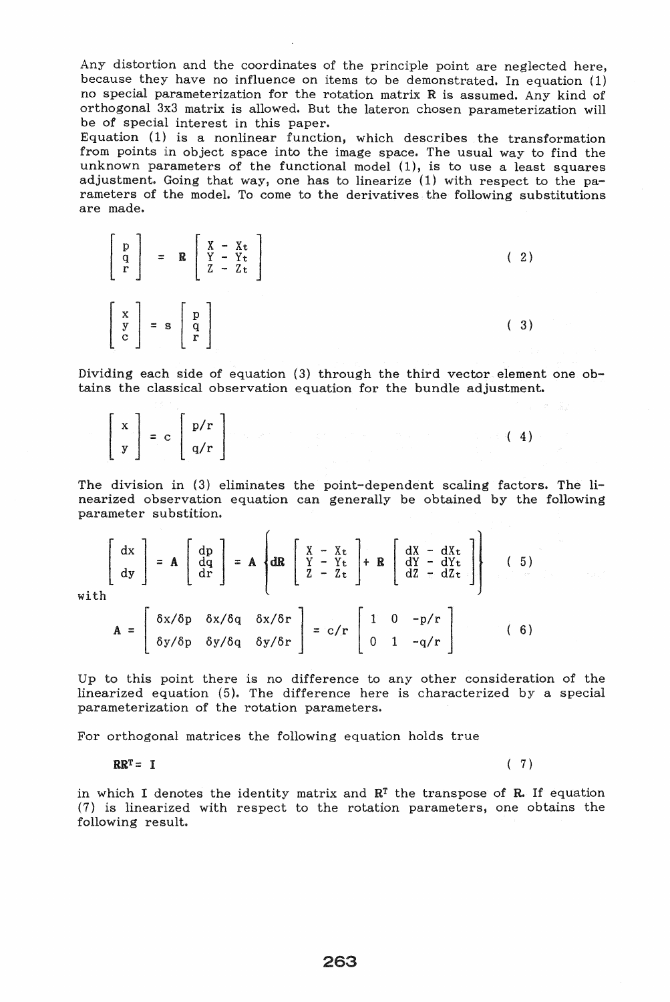Any distortion and the coordinates of the principle point are neglected here, because they have no influence on items to be demonstrated. In equation  $(1)$ no special parameterization for the rotation matrix R is assumed. Any kind of orthogonal 3x3 matrix is allowed. But the lateron chosen parameterization will be of special interest in this paper.

Equation (1) is a nonlinear function, which describes the transformation from points in object space into the image space. The usual way to find the unknown parameters of the functional model (1), is to use a least squares adjustment. Going that way, one has to linearize (1) with respect to the parameters of the model. To come to the derivatives the following substitutions are made.

|  |                                                                                                                   | $\left[\begin{array}{c} p \\ q \\ r \end{array}\right] = R \left[\begin{array}{c} X - Xt \\ Y - Yt \\ Z - Zt \end{array}\right]$ |  |  |  |
|--|-------------------------------------------------------------------------------------------------------------------|----------------------------------------------------------------------------------------------------------------------------------|--|--|--|
|  | $\left[\begin{array}{c} x \\ y \\ c \end{array}\right] = s \left[\begin{array}{c} p \\ q \\ r \end{array}\right]$ |                                                                                                                                  |  |  |  |

Dividing each side of equation (3) through the third vector element one obtains the classical observation equation for the bundle adjustment.

|  | $\begin{bmatrix} x \\ y \end{bmatrix} = c \begin{bmatrix} p/r \\ q/r \end{bmatrix}$ |  |  | $\sim$ $(4)$ |
|--|-------------------------------------------------------------------------------------|--|--|--------------|
|  |                                                                                     |  |  |              |

The division in (3) eliminates the point-dependent scaling factors. The liparameter substition.

nearized observation equation can generally be obtained by the following parameter substitution.

\n
$$
\begin{bmatrix}\n dx \\
 dy\n \end{bmatrix} = A \begin{bmatrix}\n dp \\
 dq \\
 dr\n \end{bmatrix} = A \begin{bmatrix}\n X - Xt \\
 Y - Yt \\
 Z - Zt\n \end{bmatrix} + R \begin{bmatrix}\n dX - dXt \\
 dY - dYt \\
 dZ - dZt\n \end{bmatrix} \tag{5}
$$
\nwith\n
$$
\begin{bmatrix}\n \delta x / \delta p & \delta x / \delta q & \delta x / \delta r\n \end{bmatrix} \qquad \begin{bmatrix}\n 1 & 0 & -p/r\n \end{bmatrix}
$$

wit

$$
\mathbf{A} = \begin{bmatrix} \delta x/\delta p & \delta x/\delta q & \delta x/\delta r \\ \delta y/\delta p & \delta y/\delta q & \delta y/\delta r \end{bmatrix} = c/r \begin{bmatrix} 1 & 0 & -p/r \\ 0 & 1 & -q/r \end{bmatrix}
$$
 (6)

Up to this point there is no difference to any other consideration of the linearized equation (5). The difference here is characterized by a special parameterization of the rotation parameters.

For orthogonal matrices the following equation holds true

$$
RR^{T} = I \tag{7}
$$

in which I denotes the identity matrix and  $R<sup>T</sup>$  the transpose of R. If equation (7) is linearized with respect to the rotation parameters, one obtains the following result.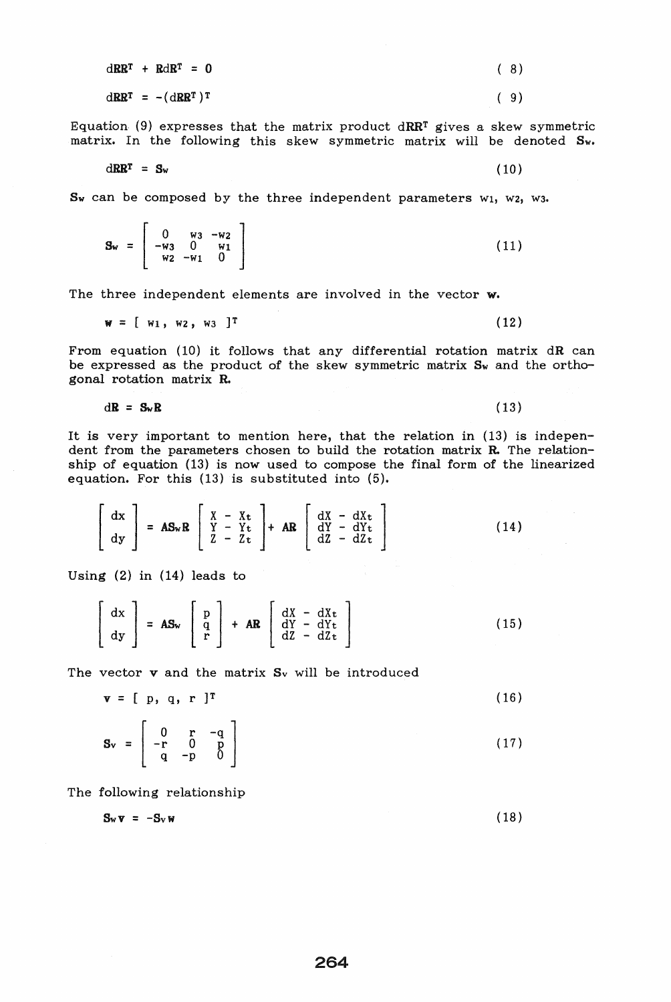|  | $dRR^T + RdR^T = 0$   |  | (8) |
|--|-----------------------|--|-----|
|  | $dRR^T = - (dRR^T)^T$ |  | (9) |

Equation. (9) expresses that the matrix product dRRT gives a skew symmetric matrix. In the following this skew symmetric matrix will be denoted Sw.

$$
dRR^T = S_w \tag{10}
$$

 $S_w$  can be composed by the three independent parameters  $w_1$ ,  $w_2$ ,  $w_3$ .

$$
\mathbf{S}_{\mathbf{w}} = \begin{bmatrix} 0 & \mathbf{w}_3 & -\mathbf{w}_2 \\ -\mathbf{w}_3 & 0 & \mathbf{w}_1 \\ \mathbf{w}_2 & -\mathbf{w}_1 & 0 \end{bmatrix} \tag{11}
$$

The three independent elements are involved in the vector w.

$$
w = [w_1, w_2, w_3]^T
$$
 (12)

From equation (10) it follows that any differential rotation matrix  $dR$  can be expressed as the product of the skew symmetric matrix  $S_w$  and the orthogonal rotation matrix R.

$$
d\mathbf{R} = \mathbf{S}_{\mathbf{w}} \mathbf{R} \tag{13}
$$

It is very important to mention here, that the relation in (13) is independent from the parameters chosen to build the rotation matrix R. The relationship of equation (13) is now used to compose the final form of the linearized equation. For this (13) is substituted into (5).

$$
\begin{bmatrix} dx \\ dy \end{bmatrix} = AS_{w}R \begin{bmatrix} X - X_{t} \\ Y - Y_{t} \\ Z - Z_{t} \end{bmatrix} + AR \begin{bmatrix} dX - dX_{t} \\ dY - dY_{t} \\ dZ - dZ_{t} \end{bmatrix}
$$
 (14)

Using (2) in (14) leads to

$$
\begin{bmatrix} dx \\ dy \end{bmatrix} = AS_w \begin{bmatrix} p \\ q \\ r \end{bmatrix} + AR \begin{bmatrix} dX - dXt \\ dY - dYt \\ dZ - dZt \end{bmatrix}
$$
 (15)

The vector **v** and the matrix S<sub>v</sub> will be introduced

 $\mathbf{v} = [p, q, r]^T$  (16)

$$
\mathbf{S}_{\mathbf{v}} = \begin{bmatrix} 0 & \mathbf{r} & -\mathbf{q} \\ -\mathbf{r} & 0 & \mathbf{p} \\ \mathbf{q} & -\mathbf{p} & 0 \end{bmatrix}
$$
(17)

The following relationship

$$
\mathbf{S}_{\mathbf{w}}\mathbf{v} = -\mathbf{S}_{\mathbf{v}}\mathbf{w} \tag{18}
$$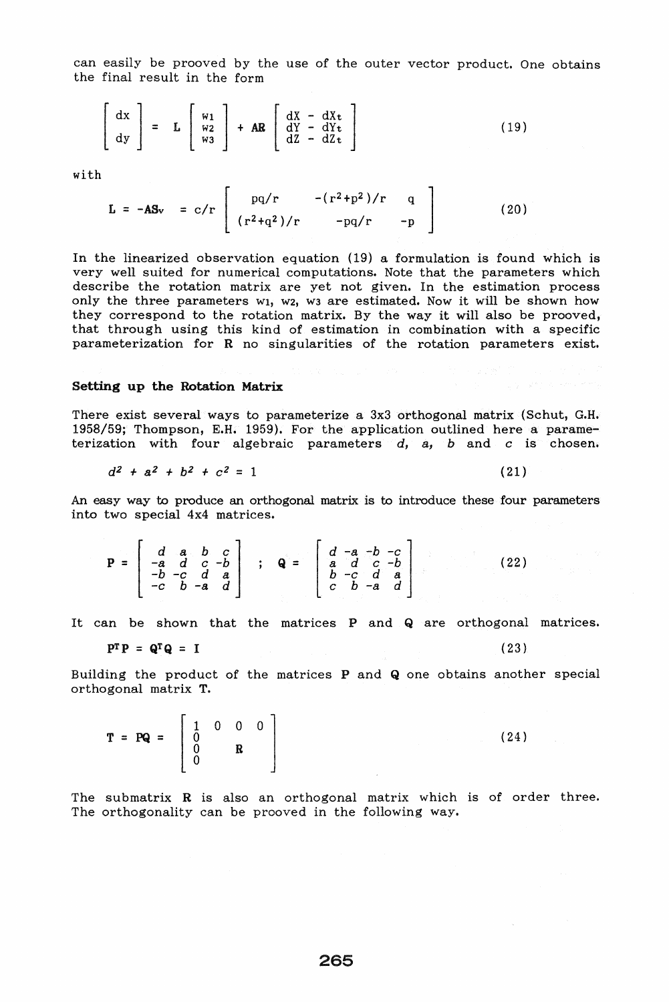can easily be prooved by the use of the outer vector product. One obtains the final result in the form

$$
\begin{bmatrix} dx \\ dy \end{bmatrix} = L \begin{bmatrix} w_1 \\ w_2 \\ w_3 \end{bmatrix} + AR \begin{bmatrix} dX - dX_t \\ dY - dY_t \\ dZ - dZ_t \end{bmatrix}
$$
 (19)

with

$$
L = -AS_v = c/r \begin{bmatrix} pq/r & -(r^2 + p^2)/r & q \\ (r^2 + q^2)/r & -pq/r & -p \end{bmatrix}
$$
 (20)

In the linearized observation equation (19) a formulation is found which is very well suited for numerical computations. Note that the parameters which describe the rotation matrix are yet not given. In the estimation process only the three parameters wi, w2, w3 are estimated. Now it will be shown how they correspond to the rotation matrix. By the way it will also be prooved, that through using this kind of estimation in combination with a specific parameterization for R no singularities of the rotation parameters exist.

### Setting up the Rotation Matrix

There exist several ways to parameterize a 3x3 orthogonal matrix (Schut, G.H. 1958/59; Thompson, E.H. 1959). For the application outlined here a parameterization with four algebraic parameters d, a, b and c is chosen.

$$
d^2 + a^2 + b^2 + c^2 = 1 \tag{21}
$$

An easy way to produce an orthogonal matrix is to introduce these four parameters into two special 4x4 matrices.

$$
\mathbf{P} = \begin{bmatrix} d & a & b & c \\ -a & d & c & -b \\ -b & -c & d & a \\ -c & b & -a & d \end{bmatrix} ; \quad \mathbf{Q} = \begin{bmatrix} d & -a & -b & -c \\ a & d & c & -b \\ b & -c & d & a \\ c & b & -a & d \end{bmatrix}
$$
 (22)

It can be shown that the matrices P and Q are orthogonal matrices.

$$
\mathbf{P}^{\mathrm{T}}\mathbf{P} = \mathbf{Q}^{\mathrm{T}}\mathbf{Q} = \mathbf{I} \tag{23}
$$

Building the product of the matrices P and Q one obtains another special orthogonal matrix T.

 $T = PQ = \begin{bmatrix} 1 & 0 & 0 & 0 \\ 0 & R & R \\ 0 & 0 & R \end{bmatrix}$  (24)

The submatrix **R** is also an orthogonal matrix which is of order three. The orthogonality can be prooved in the following way.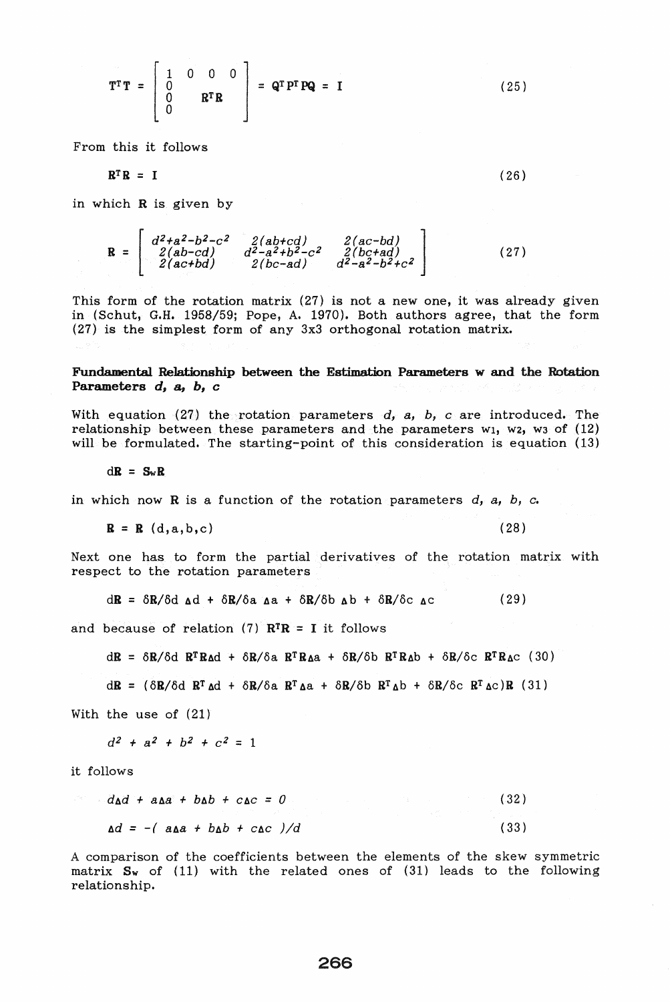$$
\mathbf{T}^{\mathbf{T}}\mathbf{T} = \begin{bmatrix} 1 & 0 & 0 & 0 \\ 0 & \mathbf{R}^{\mathbf{T}}\mathbf{R} \\ 0 & \mathbf{R}^{\mathbf{T}}\mathbf{R} \end{bmatrix} = \mathbf{Q}^{\mathbf{T}}\mathbf{P}^{\mathbf{T}}\mathbf{P}\mathbf{Q} = \mathbf{I}
$$
 (25)

From this it follows

$$
\mathbf{R}^{\mathrm{T}}\mathbf{R} = \mathbf{I} \tag{26}
$$

in which R is given by

 $R = \begin{bmatrix} 2(ab-cd) \\ 2(ab-cd) \end{bmatrix}$ *[ d2+a2-b2-c2*  2 *(ac+bd) 2(ac-bd) ] 2(bc+ad)*   $d^2-a^2-b^2+c^2$ (27)

This form of the rotation matrix (27) is not a new one, it was already given in (Schut, G.H. 1958/59; Pope, A. 1970). Both authors agree, that the form (27) is the simplest form of any 3x3 orthogonal rotation matrix.

# Fundamental Relationship between the Estimation Parameters w and the Rotation Parameters d, a, b, c

With equation (27) the rotation parameters d, a, b, c are introduced. The relationship between these parameters and the parameters wi, w2, w3 of  $(12)$ will be formulated. The starting-point of this consideration is equation (13)

 $d\mathbf{R} = S_w \mathbf{R}$ 

in which now  $R$  is a function of the rotation parameters  $d_i$ ,  $d_j$ ,  $d_k$ ,  $d_k$ ,  $d_k$ 

 $R = R$  (d,a,b,c) (28)

Next one has to form the partial derivatives of the rotation matrix with respect to the rotation parameters

 $d\mathbf{R} = \delta \mathbf{R}/\delta d \mathbf{A} + \delta \mathbf{R}/\delta a \mathbf{A} + \delta \mathbf{R}/\delta b \mathbf{A} b + \delta \mathbf{R}/\delta c \mathbf{A} c$ (29)

and because of relation (7)  $\mathbf{R}^{\mathrm{T}}\mathbf{R} = \mathbf{I}$  it follows

 $dR = \delta R / \delta d R^T R \Delta d + \delta R / \delta a R^T R \Delta a + \delta R / \delta b R^T R \Delta b + \delta R / \delta c R^T R \Delta c$  (30)

 $d\mathbf{R} = (\delta \mathbf{R}/\delta d \mathbf{R}^T \Delta d + \delta \mathbf{R}/\delta a \mathbf{R}^T \Delta a + \delta \mathbf{R}/\delta b \mathbf{R}^T \Delta b + \delta \mathbf{R}/\delta c \mathbf{R}^T \Delta c) \mathbf{R}$  (31)

With the use of (21)

 $d^2 + a^2 + b^2 + c^2 = 1$ 

it follows

| $d_{\mathbf{A}}d + a_{\mathbf{A}}a + b_{\mathbf{A}}b + c_{\mathbf{A}}c = 0$ | (32)                      |      |
|-----------------------------------------------------------------------------|---------------------------|------|
|                                                                             | しんせいしょう クリーン フォール・シーン ファー |      |
| $\Delta d = -(\alpha \Delta a + b \Delta b + c \Delta c)/d$                 |                           | (33) |

A comparison of the coefficients between the elements of the skew symmetric matrix  $S_w$  of (11) with the related ones of (31) leads to the following relationship.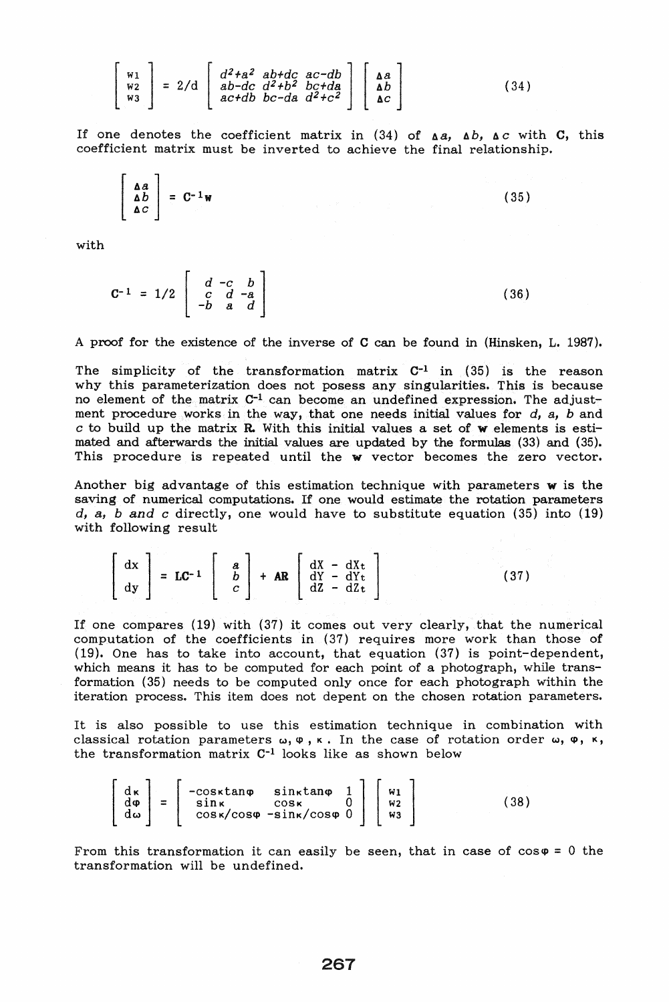$$
\begin{bmatrix}\nw_1 \\
w_2 \\
w_3 \\
w_3\n\end{bmatrix} = 2/d \begin{bmatrix}\nd^2 + a^2 & ab + dc & ac - db \\
ab - dc & d^2 + b^2 & bc + da \\
ac + db & bc - da & d^2 + c^2\n\end{bmatrix} \begin{bmatrix}\naa \\
b \\
c\n\end{bmatrix} \tag{34}
$$

If one denotes the coefficient matrix in (34) of  $\Delta a$ ,  $\Delta b$ ,  $\Delta c$  with C, this coefficient matrix must be inverted to achieve the final relationship.

$$
\begin{vmatrix} \Delta a \\ \Delta b \\ \Delta c \end{vmatrix} = C^{-1}w \tag{35}
$$

with

$$
C^{-1} = 1/2 \begin{bmatrix} d & -c & b \\ c & d & -a \\ -b & a & d \end{bmatrix}
$$
 (36)

A proof for the existence of the inverse of C can be found in (Hinsken, L. 1987).

The simplicity of the transformation matrix  $C^{-1}$  in (35) is the reason why this parameterization does not posess any singularities. This is because no element of the matrix C-l can become an undefined expression. The adjustment procedure works in the way, that one needs initial values for d, *a,* band  $c$  to build up the matrix  $R$ . With this initial values a set of  $w$  elements is estimated and afterwards the initial values are updated by the formulas (33) and (35). This procedure is repeated until the w vector becomes the zero vector.

Another big advantage of this estimation technique with parameters w is the saving of numerical computations. If one would estimate the rotation parameters *d, a, band c* directly, one would have to substitute equation (35) into (19) with following result

 $\begin{bmatrix} dx \\ dy \end{bmatrix} = LC^{-1} \begin{bmatrix} a \\ b \\ c \end{bmatrix} + AR \begin{bmatrix} dX - dXt \\ dY - dYt \\ dZ - dZt \end{bmatrix}$ (37)

If one compares (19) with (37) it comes out very clearly, that the numerical computation of the coefficients in (37) requires more work than those of (19). One has to take into account, that equation (37) is point-dependent, which means it has to be computed for each point of a photograph, while transformation (35) needs to be computed only once for each photograph within the iteration process. This item does not depent on the chosen rotation parameters.

It is also possible to use this estimation technique in combination with classical rotation parameters  $\omega, \varphi, \kappa$ . In the case of rotation order  $\omega, \varphi, \kappa,$ the transformation matrix C-1 looks like as shown below

$$
\begin{bmatrix}\nd\kappa \\
d\varphi \\
d\omega\n\end{bmatrix} = \begin{bmatrix}\n-\cos\kappa \tan\varphi & \sin\kappa \tan\varphi & 1 \\
\sin\kappa & \cos\kappa & 0 \\
\cos\kappa/\cos\varphi & -\sin\kappa/\cos\varphi & 0\n\end{bmatrix} \begin{bmatrix}\nu_1 \\
\nu_2 \\
\nu_3\n\end{bmatrix}
$$
(38)

From this transformation it can easily be seen, that in case of  $cos\varphi = 0$  the transformation will be undefined.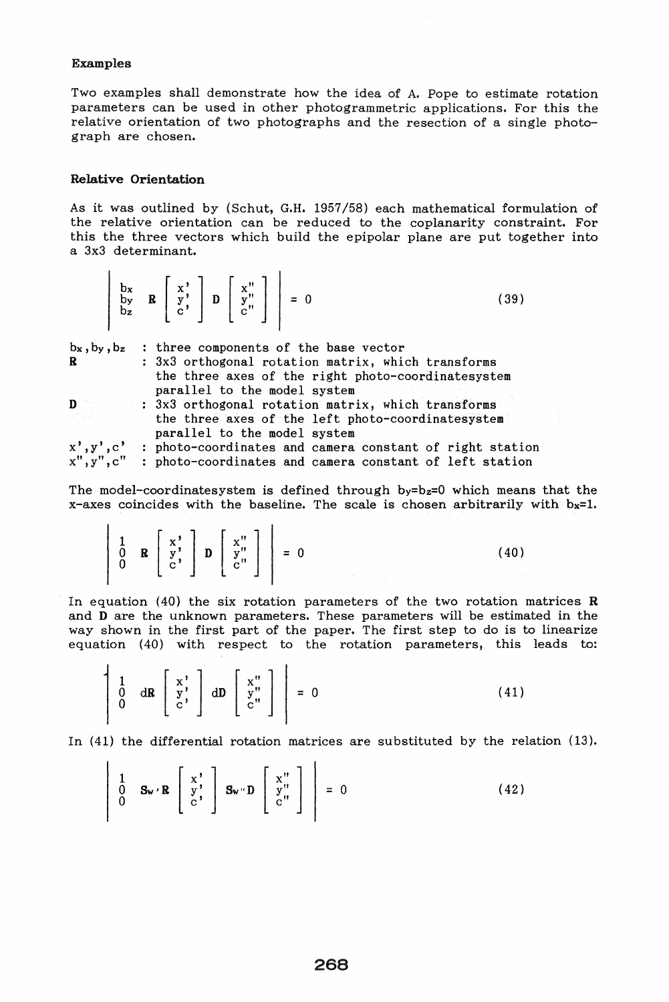# Examples

Two examples shall demonstrate how the idea of A. Pope to estimate rotation parameters can be used in other photogrammetric applications. For this the relative orientation of two photographs and the resection of a single photograph are chosen.

## Relative Orientation

 $\mathbf{r}$ 

As it was outlined by (Schut, G.H. 1957/58) each mathematical formulation of the relative orientation can be reduced to the coplanarity constraint. For this the three vectors which build the epipolar plane are put together into a 3x3 determinant.

|              | $\left[\begin{array}{ccc} bx & b \\ by & B \\ bz & C \end{array}\right]$ $\left[\begin{array}{c} x' \\ y' \\ c'' \end{array}\right]$ $\left[\begin{array}{c} x'' \\ y'' \\ c'' \end{array}\right]$ = 0<br>(39) |  |
|--------------|----------------------------------------------------------------------------------------------------------------------------------------------------------------------------------------------------------------|--|
|              | $b_x$ , $b_y$ , $b_z$ : three components of the base vector                                                                                                                                                    |  |
| $\mathbf{R}$ | : 3x3 orthogonal rotation matrix, which transforms                                                                                                                                                             |  |
|              | the three axes of the right photo-coordinatesystem                                                                                                                                                             |  |
|              | parallel to the model system                                                                                                                                                                                   |  |
| $\mathbf{D}$ | : 3x3 orthogonal rotation matrix, which transforms                                                                                                                                                             |  |
|              | the three axes of the left photo-coordinatesystem                                                                                                                                                              |  |
|              | parallel to the model system                                                                                                                                                                                   |  |
|              | $x', y', c'$ : photo-coordinates and camera constant of right station $x'', y'', c''$ : photo-coordinates and camera constant of left station                                                                  |  |
|              |                                                                                                                                                                                                                |  |

 $\overline{1}$ 

The model-coordinatesystem is defined through  $b_y=b_z=0$  which means that the  $x$ -axes coincides with the baseline. The scale is chosen arbitrarily with  $bx=1$ .

 $= 0$  (40)

In equation (40) the six rotation parameters of the two rotation matrices  $$ and D are the unknown parameters. These parameters will be estimated in the way shown in the first part of the paper. The first step to do is to linearize equation (40) with respect to the rotation parameters, this leads to:

$$
\left[\begin{array}{cc} 1 & \cdots & 1 \\ 0 & \cdots & 0 \\ 0 & \cdots & 0 \end{array}\right] \left[\begin{array}{c} x'' \\ y'' \\ c'' \end{array}\right] \left[\begin{array}{c} x'' \\ y''' \\ c'' \end{array}\right] \right] = 0 \tag{41}
$$

In (41) the differential rotation matrices are substituted by the relation (13).

$$
\begin{bmatrix} 1 & 0 & \mathbf{S_w} \cdot \mathbf{R} \\ 0 & \mathbf{S_w} \cdot \mathbf{R} \\ 0 & \mathbf{S_w} \end{bmatrix} \mathbf{S_w} \cdot \mathbf{D} \begin{bmatrix} x^n \\ y^n \\ y^n \\ y^n \end{bmatrix} = 0 \qquad (42)
$$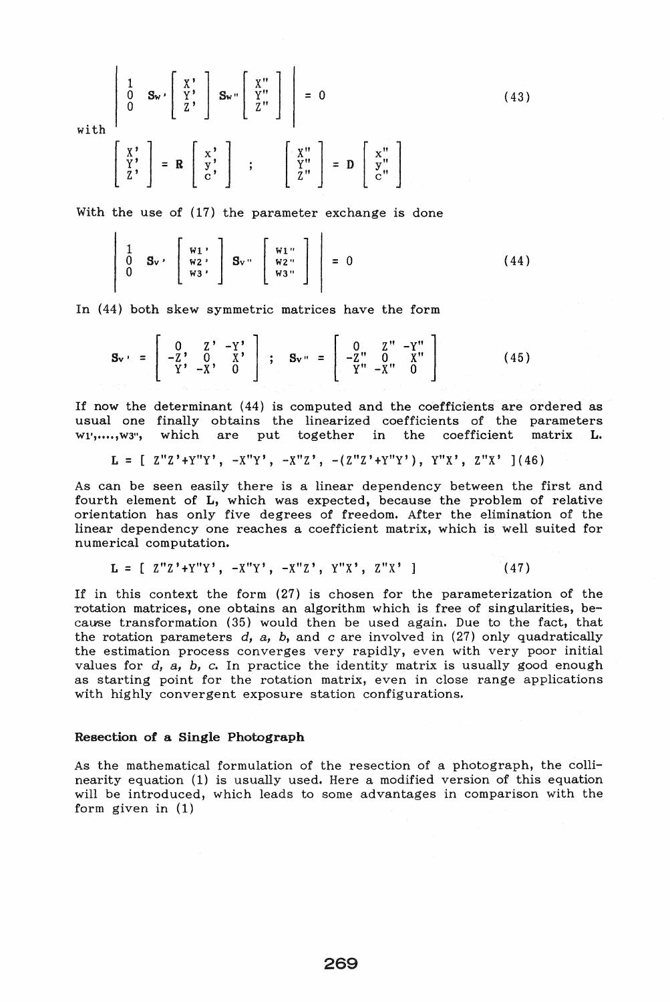1 Sw' [ X' J Sw" [ X" J 0 y' y" = 0 (43) 0 z ' Z" with [ ~: ] [ x' ] [ X" ] [ x" ] = R y' y" = D y" c' Z" c"

With the use of (17) the parameter exchange is done

$$
\begin{bmatrix}\n1 & 0 & 0 & 0 \\
0 & 0 & 0 & 0 \\
0 & 0 & 0 & 0\n\end{bmatrix}\n\begin{bmatrix}\n\frac{1}{2} & 0 & 0 \\
0 & 0 & 0 & 0 \\
0 & 0 & 0 & 0\n\end{bmatrix}\n\begin{bmatrix}\n\frac{1}{2} & 0 & 0 \\
0 & 0 & 0 \\
0 & 0 & 0\n\end{bmatrix} = 0
$$
\n(44)

In (44) both skew symmetric matrices have the form

$$
\mathbf{S}_{\mathbf{v}} = \begin{bmatrix} 0 & Z^* & -Y^* \\ -Z^* & 0 & X^* \\ Y^* & -X^* & 0 \end{bmatrix} ; \quad \mathbf{S}_{\mathbf{v}} = \begin{bmatrix} 0 & Z^* & -Y^* \\ -Z^* & 0 & X^* \\ Y^* & -X^* & 0 \end{bmatrix}
$$
(45)

If now the determinant (44) is computed and the coefficients are ordered as usual one finally obtains the linearized coefficients of the parameters<br>wi'......wa", which are put together in the coefficient matrix L. Wl', •••• ,W3", which are put together in the coefficient matrix L.

$$
L = [ Z''Z' + Y''Y', -X''Y', -X''Z', -(Z''Z' + Y''Y'), Y''X', Z''X'] (46)
$$

As can be seen easily there is a linear dependency between the first and fourth element of L, which was expected, because the problem of relative orientation has only five degrees of freedom. After the elimination of the linear dependency one reaches a coefficient matrix, which is well suited for numerical computation.

$$
L = [ Z''Z' + Y''Y', -X''Y', -X''Z', Y''X', Z''X']
$$
 (47)

If in this context the form (27) is chosen for the parameterization of the rotation matrices, one obtains an algorithm which is free of singularities, because transformation (35) would then be used again. Due to the fact, that the rotation parameters  $d$ ,  $a$ ,  $b$ , and  $c$  are involved in (27) only quadratically the estimation process converges very rapidly, even with very poor initial values for d, *a,* b, c. In practice the identity matrix is usually good enough as starting point for the rotation matrix, even in close range applications with highly convergent exposure station configurations.

## Resection of a Single Photograph

As the mathematical formulation of the resection of a photograph, the collinearity equation (1) is usually used. Here a modified version of this equation will be introduced, which leads to some advantages in comparison with the form given in (1)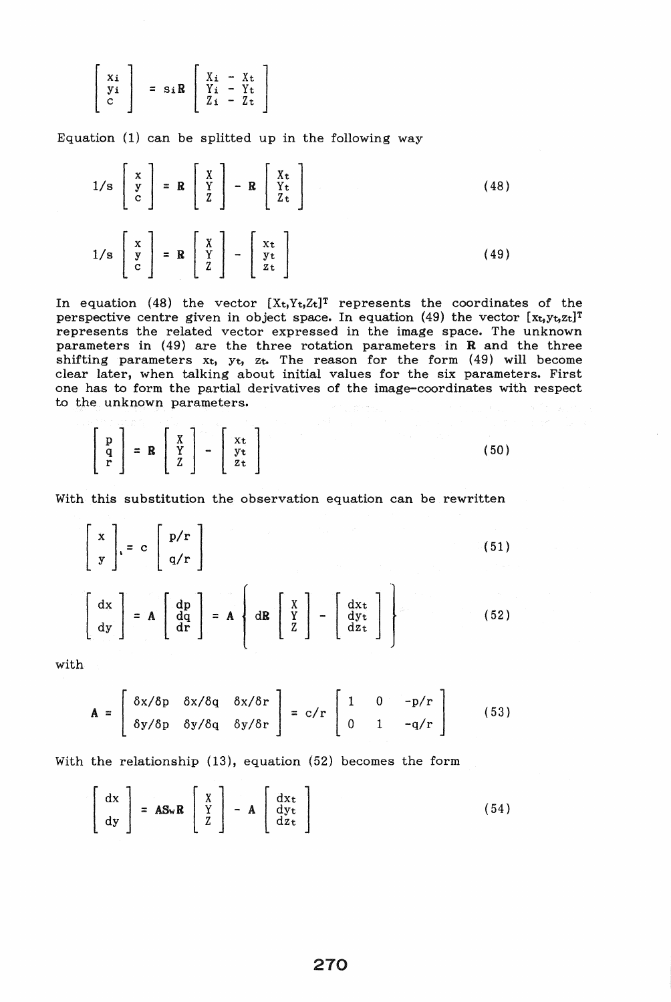$$
\left[\begin{array}{c} x_i \\ y_i \\ c \end{array}\right] = s_i R \left[\begin{array}{ccc} X_i - X_t \\ Y_i - Y_t \\ Z_i - Z_t \end{array}\right]
$$

Equation (1) can be splitted up in the following way

$$
1/s \begin{bmatrix} x \\ y \\ c \end{bmatrix} = \mathbf{R} \begin{bmatrix} X \\ Y \\ Z \end{bmatrix} - \mathbf{R} \begin{bmatrix} X_t \\ Y_t \\ Z_t \end{bmatrix}
$$
(48)  

$$
1/s \begin{bmatrix} x \\ y \\ c \end{bmatrix} = \mathbf{R} \begin{bmatrix} X \\ Y \\ Z \\ Z \end{bmatrix} - \begin{bmatrix} x_t \\ y_t \\ z_t \end{bmatrix}
$$
(49)

In equation (48) the vector  $[X_t, Y_t, Z_t]^T$  represents the coordinates of the perspective centre given in object space. In equation (49) the vector  $[x_t, y_t, z_t]^T$ represents the related vector expressed in the image space. The unknown parameters in (49) are the three rotation parameters in R and the three shifting parameters  $x_t$ ,  $y_t$ ,  $z_t$ . The reason for the form  $(49)$  will become clear later, when talking about initial values for the six parameters. First one has to form the partial derivatives of the image-coordinates with respect to the unknown parameters.

$$
\begin{bmatrix} p \\ q \\ r \end{bmatrix} = R \begin{bmatrix} X \\ Y \\ Z \end{bmatrix} - \begin{bmatrix} x_t \\ y_t \\ z_t \end{bmatrix}
$$
 (50)

With this substitution the observation equation can be rewritten

$$
\begin{bmatrix} x \\ y \end{bmatrix} = c \begin{bmatrix} p/r \\ q/r \end{bmatrix}
$$
(51)  

$$
\begin{bmatrix} dx \\ dy \end{bmatrix} = A \begin{bmatrix} dp \\ dq \\ dr \end{bmatrix} = A \begin{bmatrix} x \\ qR \\ z \end{bmatrix} - \begin{bmatrix} dx_t \\ dy_t \\ dz_t \end{bmatrix}
$$
(52)

with

$$
\mathbf{A} = \begin{bmatrix} \delta x/\delta p & \delta x/\delta q & \delta x/\delta r \\ \delta y/\delta p & \delta y/\delta q & \delta y/\delta r \end{bmatrix} = c/r \begin{bmatrix} 1 & 0 & -p/r \\ 0 & 1 & -q/r \end{bmatrix}
$$
 (53)

With the relationship (13), equation (52) becomes the form

$$
\begin{bmatrix} dx \\ dy \end{bmatrix} = AS_{w}R \begin{bmatrix} X \\ Y \\ Z \end{bmatrix} - A \begin{bmatrix} dx_{t} \\ dy_{t} \\ dz_{t} \end{bmatrix}
$$
 (54)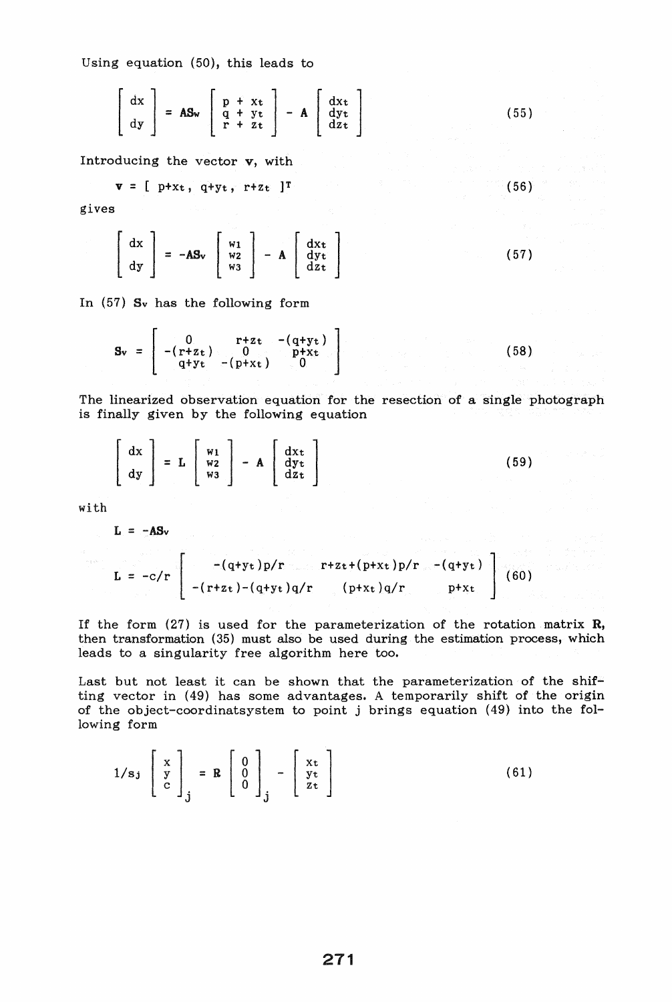Using equation (50), this leads to

$$
\begin{bmatrix} dx \\ dy \end{bmatrix} = AS_w \begin{bmatrix} p + xt \\ q + yt \\ r + zt \end{bmatrix} - A \begin{bmatrix} dx_t \\ dy_t \\ dz_t \end{bmatrix}
$$
 (55)

Introducing the vector v, with

$$
\mathbf{v} = [ \mathbf{p} + \mathbf{x} \mathbf{t}, \mathbf{q} + \mathbf{y} \mathbf{t}, \mathbf{r} + \mathbf{z} \mathbf{t} ]^{\mathrm{T}}
$$
 (56)

gives

 $\mathbf{r}$ 

$$
\begin{bmatrix} dx \\ dy \end{bmatrix} = -AS_v \begin{bmatrix} w_1 \\ w_2 \\ w_3 \end{bmatrix} - A \begin{bmatrix} dx_t \\ dy_t \\ dz_t \end{bmatrix}
$$
 (57)

In (57) Sv has the following form

 $\mathbf{r}$  and  $\mathbf{r}$ 

$$
\mathbf{S}_{\mathbf{v}} = \begin{bmatrix} 0 & \mathbf{r} + \mathbf{z} \mathbf{t} & -(\mathbf{q} + \mathbf{y} \mathbf{t}) \\ -(\mathbf{r} + \mathbf{z} \mathbf{t}) & 0 & \mathbf{p} + \mathbf{x} \mathbf{t} \\ \mathbf{q} + \mathbf{y} \mathbf{t} & -(\mathbf{p} + \mathbf{x} \mathbf{t}) & 0 \end{bmatrix}
$$
(58)

The linearized observation equation for the resection of a single photograph is finally given by the following equation

$$
\begin{bmatrix} dx \\ dy \end{bmatrix} = L \begin{bmatrix} w_1 \\ w_2 \\ w_3 \end{bmatrix} - A \begin{bmatrix} dx_t \\ dy_t \\ dz_t \end{bmatrix}
$$
 (59)

with

 $\sim \frac{1}{2}$  years.

$$
L = -AS_v
$$

 $\sim$ 

$$
\mathbf{L} = -c/r \begin{bmatrix} -(q+yt)p/r & r+zt+(p+xt)p/r & -(q+yt) \\ -(r+zt)-(q+yt)q/r & (p+xt)q/r & p+xt \end{bmatrix}
$$
(60)

If the form  $(27)$  is used for the parameterization of the rotation matrix R, then transformation (35) must also be used during the estimation process, which leads to a singularity free algorithm here too.

Last but not least it can be shown that the parameterization of the shifting vector in (49) has some advantages. A temporarily shift of the origin of the object-coordinatsystem to point j brings equation (49) into the following form

$$
1/s_j \begin{bmatrix} x \\ y \\ c \end{bmatrix}_j = R \begin{bmatrix} 0 \\ 0 \\ 0 \end{bmatrix}_j - \begin{bmatrix} x_t \\ y_t \\ z_t \end{bmatrix}
$$
 (61)